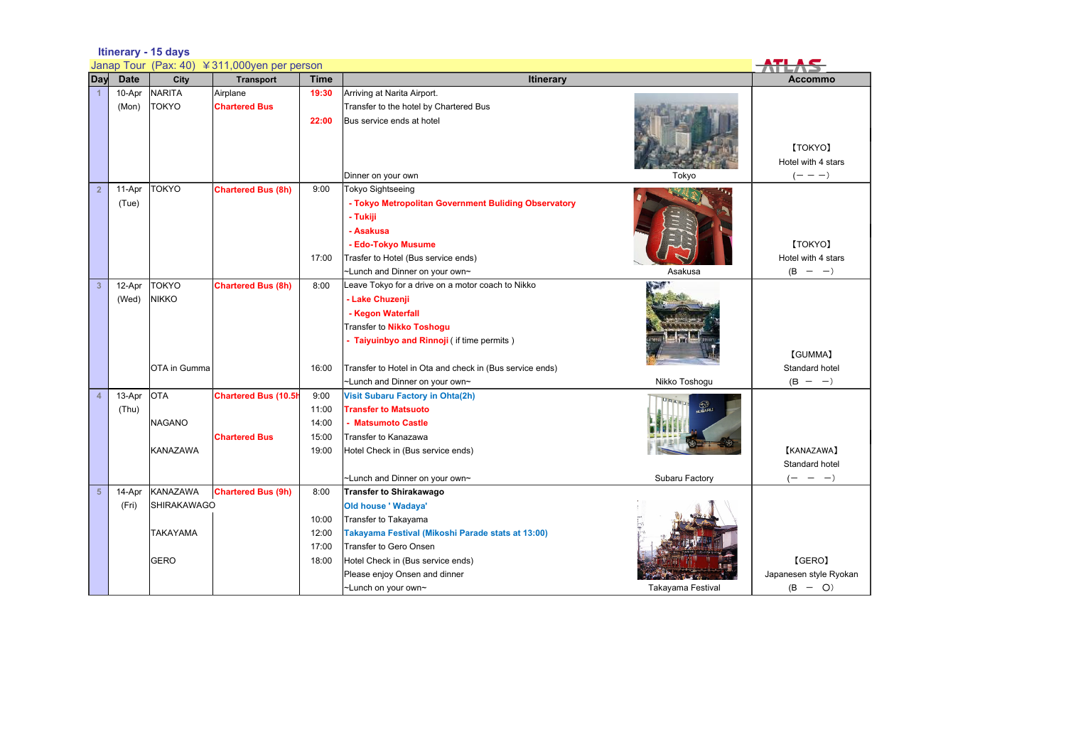## **Itinerary - 15 days**

| Janap Tour (Pax: 40) ¥311,000yen per person |             |                    |                             |             |                                                          |                   |                        |
|---------------------------------------------|-------------|--------------------|-----------------------------|-------------|----------------------------------------------------------|-------------------|------------------------|
| Day                                         | <b>Date</b> | City               | <b>Transport</b>            | <b>Time</b> | Itinerary                                                |                   | <b>Accommo</b>         |
|                                             | 10-Apr      | <b>NARITA</b>      | Airplane                    | 19:30       | Arriving at Narita Airport.                              |                   |                        |
|                                             | (Mon)       | <b>TOKYO</b>       | <b>Chartered Bus</b>        |             | Transfer to the hotel by Chartered Bus                   |                   |                        |
|                                             |             |                    |                             | 22:00       | Bus service ends at hotel                                |                   |                        |
|                                             |             |                    |                             |             |                                                          |                   |                        |
|                                             |             |                    |                             |             |                                                          |                   | [TOKYO]                |
|                                             |             |                    |                             |             |                                                          |                   | Hotel with 4 stars     |
|                                             |             |                    |                             |             | Dinner on your own                                       | Tokyo             | $(- - -)$              |
| $\overline{2}$                              | 11-Apr      | <b>TOKYO</b>       | <b>Chartered Bus (8h)</b>   | 9:00        | Tokyo Sightseeing                                        |                   |                        |
|                                             | (Tue)       |                    |                             |             | - Tokyo Metropolitan Government Buliding Observatory     |                   |                        |
|                                             |             |                    |                             |             | - Tukiji                                                 |                   |                        |
|                                             |             |                    |                             |             | - Asakusa                                                |                   |                        |
|                                             |             |                    |                             |             | - Edo-Tokyo Musume                                       |                   | [TOKYO]                |
|                                             |             |                    |                             | 17:00       | Trasfer to Hotel (Bus service ends)                      |                   | Hotel with 4 stars     |
|                                             |             |                    |                             |             | ~Lunch and Dinner on your own~                           | Asakusa           | $(B - -)$              |
| $\overline{3}$                              | 12-Apr      | <b>TOKYO</b>       | <b>Chartered Bus (8h)</b>   | 8:00        | Leave Tokyo for a drive on a motor coach to Nikko        |                   |                        |
|                                             | (Wed)       | <b>NIKKO</b>       |                             |             | - Lake Chuzenji                                          |                   |                        |
|                                             |             |                    |                             |             | - Kegon Waterfall                                        |                   |                        |
|                                             |             |                    |                             |             | Transfer to Nikko Toshogu                                |                   |                        |
|                                             |             |                    |                             |             | - Taiyuinbyo and Rinnoji (if time permits)               |                   |                        |
|                                             |             |                    |                             |             |                                                          |                   | [GUMMA]                |
|                                             |             | OTA in Gumma       |                             | 16:00       | Transfer to Hotel in Ota and check in (Bus service ends) |                   | Standard hotel         |
|                                             |             |                    |                             |             | -Lunch and Dinner on your own~                           | Nikko Toshogu     | $(B - -)$              |
| $\overline{4}$                              | 13-Apr      | <b>OTA</b>         | <b>Chartered Bus (10.5h</b> | 9:00        | <b>Visit Subaru Factory in Ohta(2h)</b>                  | <b>URA</b> N      |                        |
|                                             | (Thu)       |                    |                             | 11:00       | <b>Transfer to Matsuoto</b>                              |                   |                        |
|                                             |             | <b>NAGANO</b>      |                             | 14:00       | - Matsumoto Castle                                       |                   |                        |
|                                             |             |                    | <b>Chartered Bus</b>        | 15:00       | Transfer to Kanazawa                                     |                   |                        |
|                                             |             | KANAZAWA           |                             | 19:00       | Hotel Check in (Bus service ends)                        |                   | [KANAZAWA]             |
|                                             |             |                    |                             |             |                                                          |                   | Standard hotel         |
|                                             |             |                    |                             |             | ~Lunch and Dinner on your own~                           | Subaru Factory    | $(- - -)$              |
| 5                                           | 14-Apr      | <b>KANAZAWA</b>    | <b>Chartered Bus (9h)</b>   | 8:00        | <b>Transfer to Shirakawago</b>                           |                   |                        |
|                                             | (Fri)       | <b>SHIRAKAWAGO</b> |                             |             | <b>Old house ' Wadaya'</b>                               |                   |                        |
|                                             |             |                    |                             | 10:00       | Transfer to Takayama                                     |                   |                        |
|                                             |             | TAKAYAMA           |                             | 12:00       | Takayama Festival (Mikoshi Parade stats at 13:00)        |                   |                        |
|                                             |             |                    |                             | 17:00       | Transfer to Gero Onsen                                   |                   |                        |
|                                             |             | <b>GERO</b>        |                             | 18:00       | Hotel Check in (Bus service ends)                        |                   | [GERO]                 |
|                                             |             |                    |                             |             | Please enjoy Onsen and dinner                            |                   | Japanesen style Ryokan |
|                                             |             |                    |                             |             | ~Lunch on your own~                                      | Takayama Festival | $(B - O)$              |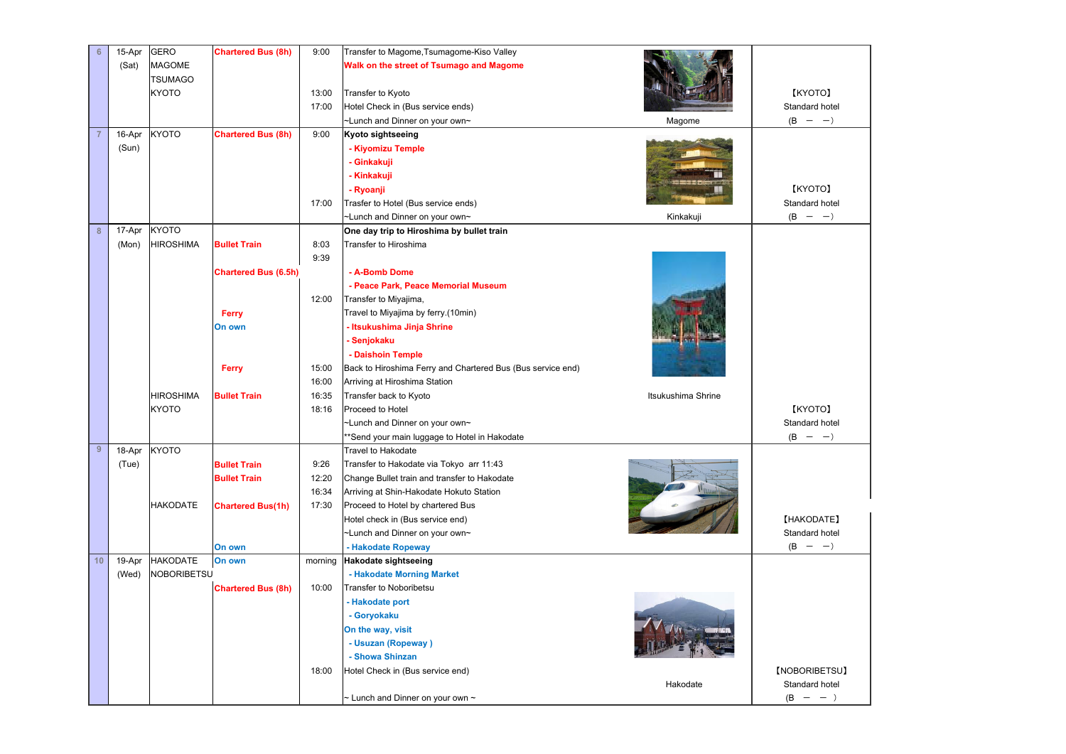| 6                | 15-Apr | <b>GERO</b>        | <b>Chartered Bus (8h)</b>   | 9:00    | Transfer to Magome, Tsumagome-Kiso Valley                   |                    |                |
|------------------|--------|--------------------|-----------------------------|---------|-------------------------------------------------------------|--------------------|----------------|
|                  | (Sat)  | <b>MAGOME</b>      |                             |         | Walk on the street of Tsumago and Magome                    |                    |                |
|                  |        | <b>TSUMAGO</b>     |                             |         |                                                             |                    |                |
|                  |        | <b>KYOTO</b>       |                             | 13:00   | Transfer to Kyoto                                           |                    | [KYOTO]        |
|                  |        |                    |                             | 17:00   | Hotel Check in (Bus service ends)                           |                    | Standard hotel |
|                  |        |                    |                             |         | ~Lunch and Dinner on your own~                              | Magome             | $(B - -)$      |
|                  | 16-Apr | <b>KYOTO</b>       | <b>Chartered Bus (8h)</b>   | 9:00    | Kyoto sightseeing                                           |                    |                |
|                  | (Sun)  |                    |                             |         | - Kiyomizu Temple                                           |                    |                |
|                  |        |                    |                             |         | - Ginkakuji                                                 |                    |                |
|                  |        |                    |                             |         | - Kinkakuji                                                 |                    |                |
|                  |        |                    |                             |         | - Ryoanji                                                   |                    | [KYOTO]        |
|                  |        |                    |                             | 17:00   | Trasfer to Hotel (Bus service ends)                         |                    | Standard hotel |
|                  |        |                    |                             |         | ~Lunch and Dinner on your own~                              | Kinkakuji          | $(B - -)$      |
| $\boldsymbol{8}$ | 17-Apr | <b>KYOTO</b>       |                             |         | One day trip to Hiroshima by bullet train                   |                    |                |
|                  | (Mon)  | <b>HIROSHIMA</b>   | <b>Bullet Train</b>         | 8:03    | Transfer to Hiroshima                                       |                    |                |
|                  |        |                    |                             | 9:39    |                                                             |                    |                |
|                  |        |                    | <b>Chartered Bus (6.5h)</b> |         | - A-Bomb Dome                                               |                    |                |
|                  |        |                    |                             |         | - Peace Park, Peace Memorial Museum                         |                    |                |
|                  |        |                    |                             | 12:00   | Transfer to Miyajima,                                       |                    |                |
|                  |        |                    | Ferry                       |         | Travel to Miyajima by ferry.(10min)                         |                    |                |
|                  |        |                    | On own                      |         | - Itsukushima Jinja Shrine                                  |                    |                |
|                  |        |                    |                             |         | - Senjokaku                                                 |                    |                |
|                  |        |                    |                             |         | - Daishoin Temple                                           |                    |                |
|                  |        |                    | Ferry                       | 15:00   | Back to Hiroshima Ferry and Chartered Bus (Bus service end) |                    |                |
|                  |        |                    |                             | 16:00   | Arriving at Hiroshima Station                               |                    |                |
|                  |        | <b>HIROSHIMA</b>   | <b>Bullet Train</b>         | 16:35   | Transfer back to Kyoto                                      | Itsukushima Shrine |                |
|                  |        | <b>KYOTO</b>       |                             | 18:16   | Proceed to Hotel                                            |                    | [KYOTO]        |
|                  |        |                    |                             |         | -Lunch and Dinner on your own~                              |                    | Standard hotel |
|                  |        |                    |                             |         | *Send your main luggage to Hotel in Hakodate                |                    | $(B - -)$      |
| $\boldsymbol{9}$ | 18-Apr | <b>KYOTO</b>       |                             |         | Travel to Hakodate                                          |                    |                |
|                  | (Tue)  |                    | <b>Bullet Train</b>         | 9:26    | Transfer to Hakodate via Tokyo arr 11:43                    |                    |                |
|                  |        |                    | <b>Bullet Train</b>         | 12:20   | Change Bullet train and transfer to Hakodate                |                    |                |
|                  |        |                    |                             | 16:34   | Arriving at Shin-Hakodate Hokuto Station                    |                    |                |
|                  |        | <b>HAKODATE</b>    | <b>Chartered Bus(1h)</b>    | 17:30   | Proceed to Hotel by chartered Bus                           |                    |                |
|                  |        |                    |                             |         | Hotel check in (Bus service end)                            |                    | [HAKODATE]     |
|                  |        |                    |                             |         | ~Lunch and Dinner on your own~                              |                    | Standard hotel |
|                  |        |                    | On own                      |         | - Hakodate Ropeway                                          |                    | $(B - -)$      |
| 10               | 19-Apr | <b>HAKODATE</b>    | On own                      | morning | <b>Hakodate sightseeing</b>                                 |                    |                |
|                  | (Wed)  | <b>NOBORIBETSU</b> |                             | 10:00   | - Hakodate Morning Market                                   |                    |                |
|                  |        |                    | <b>Chartered Bus (8h)</b>   |         | Transfer to Noboribetsu<br>- Hakodate port                  |                    |                |
|                  |        |                    |                             |         | - Goryokaku                                                 |                    |                |
|                  |        |                    |                             |         | On the way, visit                                           |                    |                |
|                  |        |                    |                             |         | - Usuzan (Ropeway)                                          |                    |                |
|                  |        |                    |                             |         | - Showa Shinzan                                             |                    |                |
|                  |        |                    |                             | 18:00   | Hotel Check in (Bus service end)                            |                    | [NOBORIBETSU]  |
|                  |        |                    |                             |         |                                                             | Hakodate           | Standard hotel |
|                  |        |                    |                             |         | $\sim$ Lunch and Dinner on your own $\sim$                  |                    | $(B - -)$      |
|                  |        |                    |                             |         |                                                             |                    |                |